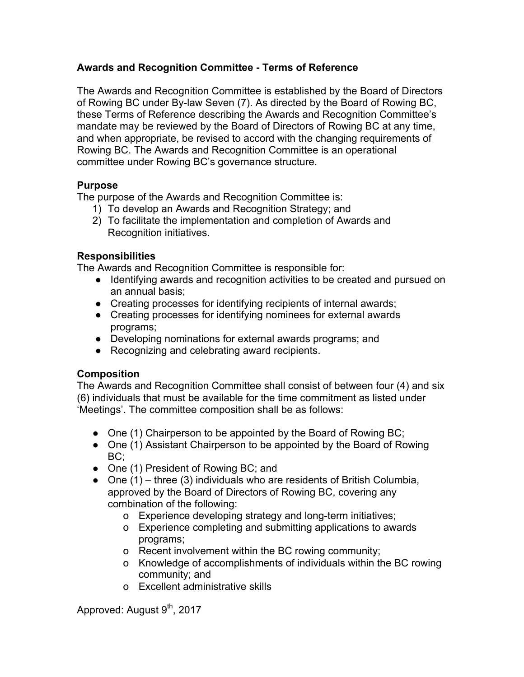# **Awards and Recognition Committee - Terms of Reference**

The Awards and Recognition Committee is established by the Board of Directors of Rowing BC under By-law Seven (7). As directed by the Board of Rowing BC, these Terms of Reference describing the Awards and Recognition Committee's mandate may be reviewed by the Board of Directors of Rowing BC at any time, and when appropriate, be revised to accord with the changing requirements of Rowing BC. The Awards and Recognition Committee is an operational committee under Rowing BC's governance structure.

### **Purpose**

The purpose of the Awards and Recognition Committee is:

- 1) To develop an Awards and Recognition Strategy; and
- 2) To facilitate the implementation and completion of Awards and Recognition initiatives.

### **Responsibilities**

The Awards and Recognition Committee is responsible for:

- Identifying awards and recognition activities to be created and pursued on an annual basis;
- Creating processes for identifying recipients of internal awards;
- Creating processes for identifying nominees for external awards programs;
- Developing nominations for external awards programs; and
- Recognizing and celebrating award recipients.

# **Composition**

The Awards and Recognition Committee shall consist of between four (4) and six (6) individuals that must be available for the time commitment as listed under 'Meetings'. The committee composition shall be as follows:

- One (1) Chairperson to be appointed by the Board of Rowing BC;
- One (1) Assistant Chairperson to be appointed by the Board of Rowing BC;
- One (1) President of Rowing BC; and
- $\bullet$  One (1) three (3) individuals who are residents of British Columbia, approved by the Board of Directors of Rowing BC, covering any combination of the following:
	- o Experience developing strategy and long-term initiatives;
	- o Experience completing and submitting applications to awards programs;
	- o Recent involvement within the BC rowing community;
	- o Knowledge of accomplishments of individuals within the BC rowing community; and
	- o Excellent administrative skills

Approved: August 9<sup>th</sup>, 2017